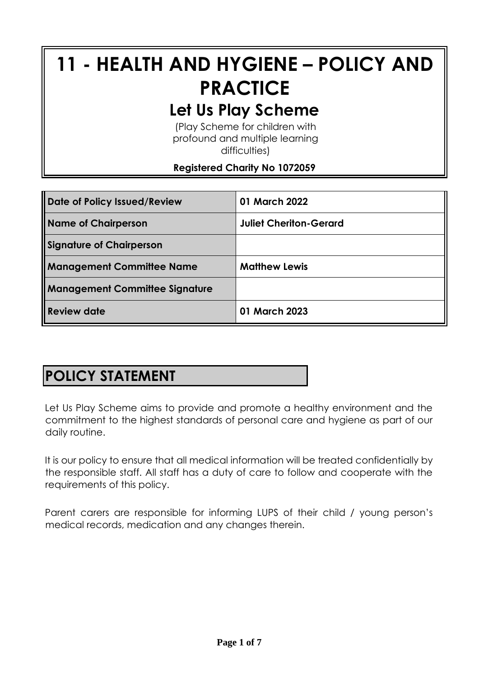# **11 - HEALTH AND HYGIENE – POLICY AND PRACTICE Let Us Play Scheme**

(Play Scheme for children with profound and multiple learning difficulties)

#### **Registered Charity No 1072059**

| Date of Policy Issued/Review   | 01 March 2022                 |
|--------------------------------|-------------------------------|
| Name of Chairperson            | <b>Juliet Cheriton-Gerard</b> |
| Signature of Chairperson       |                               |
| Management Committee Name      | <b>Matthew Lewis</b>          |
| Management Committee Signature |                               |
| <b>Review date</b>             | 01 March 2023                 |

# **POLICY STATEMENT**

Let Us Play Scheme aims to provide and promote a healthy environment and the commitment to the highest standards of personal care and hygiene as part of our daily routine.

It is our policy to ensure that all medical information will be treated confidentially by the responsible staff. All staff has a duty of care to follow and cooperate with the requirements of this policy.

Parent carers are responsible for informing LUPS of their child / young person's medical records, medication and any changes therein.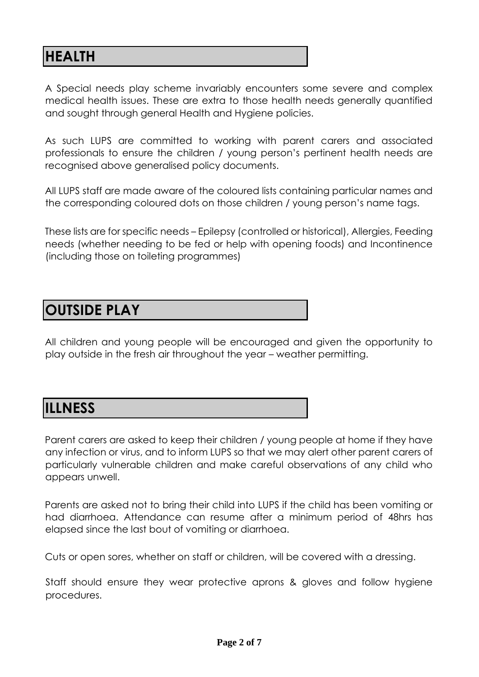## **HEALTH**

A Special needs play scheme invariably encounters some severe and complex medical health issues. These are extra to those health needs generally quantified and sought through general Health and Hygiene policies.

As such LUPS are committed to working with parent carers and associated professionals to ensure the children / young person's pertinent health needs are recognised above generalised policy documents.

All LUPS staff are made aware of the coloured lists containing particular names and the corresponding coloured dots on those children / young person's name tags.

These lists are for specific needs – Epilepsy (controlled or historical), Allergies, Feeding needs (whether needing to be fed or help with opening foods) and Incontinence (including those on toileting programmes)

## **OUTSIDE PLAY**

All children and young people will be encouraged and given the opportunity to play outside in the fresh air throughout the year – weather permitting.

#### **ILLNESS**

Parent carers are asked to keep their children / young people at home if they have any infection or virus, and to inform LUPS so that we may alert other parent carers of particularly vulnerable children and make careful observations of any child who appears unwell.

Parents are asked not to bring their child into LUPS if the child has been vomiting or had diarrhoea. Attendance can resume after a minimum period of 48hrs has elapsed since the last bout of vomiting or diarrhoea.

Cuts or open sores, whether on staff or children, will be covered with a dressing.

Staff should ensure they wear protective aprons & gloves and follow hygiene procedures.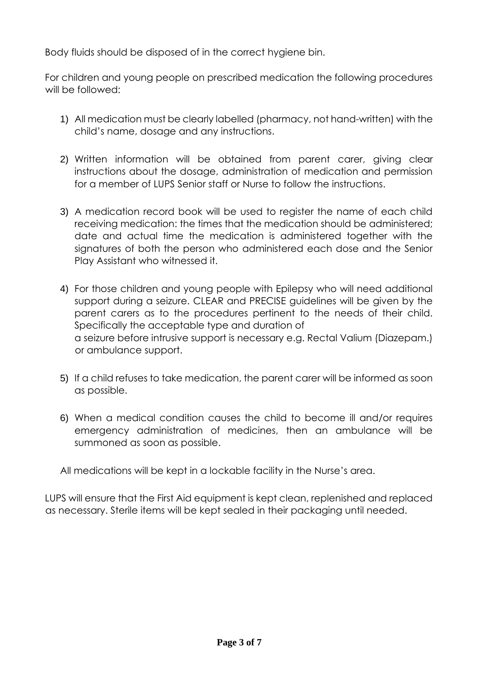Body fluids should be disposed of in the correct hygiene bin.

For children and young people on prescribed medication the following procedures will be followed:

- 1) All medication must be clearly labelled (pharmacy, not hand-written) with the child's name, dosage and any instructions.
- 2) Written information will be obtained from parent carer, giving clear instructions about the dosage, administration of medication and permission for a member of LUPS Senior staff or Nurse to follow the instructions.
- 3) A medication record book will be used to register the name of each child receiving medication: the times that the medication should be administered; date and actual time the medication is administered together with the signatures of both the person who administered each dose and the Senior Play Assistant who witnessed it.
- 4) For those children and young people with Epilepsy who will need additional support during a seizure. CLEAR and PRECISE guidelines will be given by the parent carers as to the procedures pertinent to the needs of their child. Specifically the acceptable type and duration of a seizure before intrusive support is necessary e.g. Rectal Valium (Diazepam.) or ambulance support.
- 5) If a child refuses to take medication, the parent carer will be informed as soon as possible.
- 6) When a medical condition causes the child to become ill and/or requires emergency administration of medicines, then an ambulance will be summoned as soon as possible.

All medications will be kept in a lockable facility in the Nurse's area.

LUPS will ensure that the First Aid equipment is kept clean, replenished and replaced as necessary. Sterile items will be kept sealed in their packaging until needed.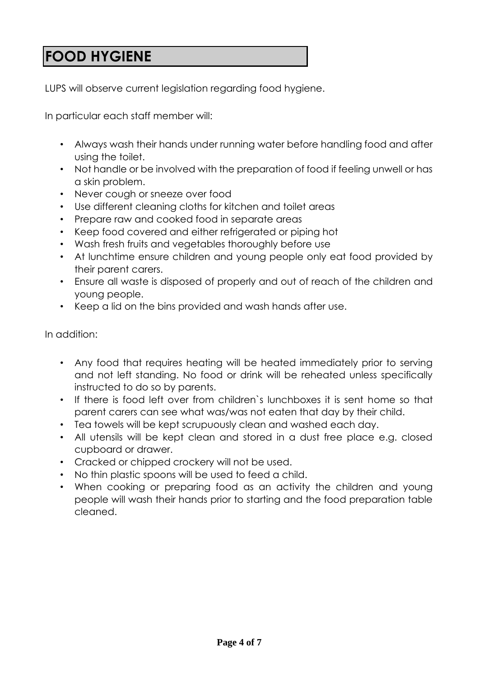# **FOOD HYGIENE**

LUPS will observe current legislation regarding food hygiene.

In particular each staff member will:

- Always wash their hands under running water before handling food and after using the toilet.
- Not handle or be involved with the preparation of food if feeling unwell or has a skin problem.
- Never cough or sneeze over food
- Use different cleaning cloths for kitchen and toilet areas
- Prepare raw and cooked food in separate areas
- Keep food covered and either refrigerated or piping hot
- Wash fresh fruits and vegetables thoroughly before use
- At lunchtime ensure children and young people only eat food provided by their parent carers.
- Ensure all waste is disposed of properly and out of reach of the children and young people.
- Keep a lid on the bins provided and wash hands after use.

In addition:

- Any food that requires heating will be heated immediately prior to serving and not left standing. No food or drink will be reheated unless specifically instructed to do so by parents.
- If there is food left over from children`s lunchboxes it is sent home so that parent carers can see what was/was not eaten that day by their child.
- Tea towels will be kept scrupuously clean and washed each day.
- All utensils will be kept clean and stored in a dust free place e.g. closed cupboard or drawer.
- Cracked or chipped crockery will not be used.
- No thin plastic spoons will be used to feed a child.
- When cooking or preparing food as an activity the children and young people will wash their hands prior to starting and the food preparation table cleaned.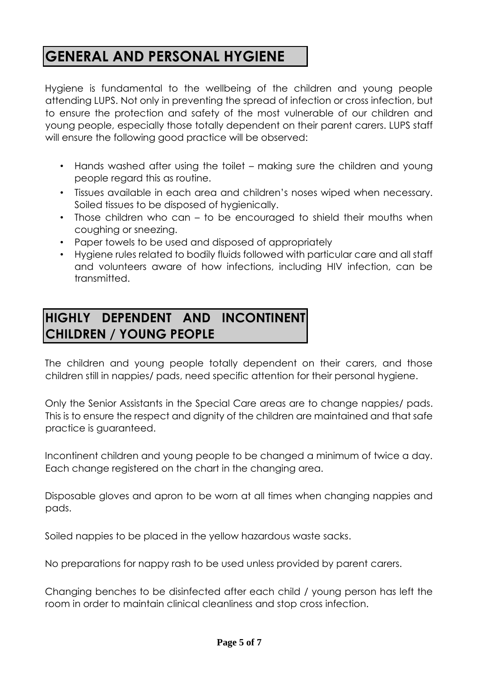# **GENERAL AND PERSONAL HYGIENE**

Hygiene is fundamental to the wellbeing of the children and young people attending LUPS. Not only in preventing the spread of infection or cross infection, but to ensure the protection and safety of the most vulnerable of our children and young people, especially those totally dependent on their parent carers. LUPS staff will ensure the following good practice will be observed:

- Hands washed after using the toilet making sure the children and young people regard this as routine.
- Tissues available in each area and children's noses wiped when necessary. Soiled tissues to be disposed of hygienically.
- Those children who can to be encouraged to shield their mouths when coughing or sneezing.
- Paper towels to be used and disposed of appropriately
- Hygiene rules related to bodily fluids followed with particular care and all staff and volunteers aware of how infections, including HIV infection, can be transmitted.

#### **HIGHLY DEPENDENT AND INCONTINENT CHILDREN / YOUNG PEOPLE**

The children and young people totally dependent on their carers, and those children still in nappies/ pads, need specific attention for their personal hygiene.

Only the Senior Assistants in the Special Care areas are to change nappies/ pads. This is to ensure the respect and dignity of the children are maintained and that safe practice is guaranteed.

Incontinent children and young people to be changed a minimum of twice a day. Each change registered on the chart in the changing area.

Disposable gloves and apron to be worn at all times when changing nappies and pads.

Soiled nappies to be placed in the yellow hazardous waste sacks.

No preparations for nappy rash to be used unless provided by parent carers.

Changing benches to be disinfected after each child / young person has left the room in order to maintain clinical cleanliness and stop cross infection.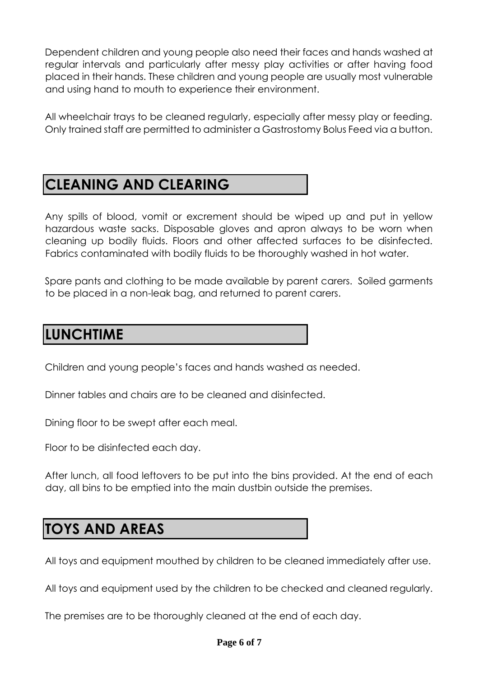Dependent children and young people also need their faces and hands washed at regular intervals and particularly after messy play activities or after having food placed in their hands. These children and young people are usually most vulnerable and using hand to mouth to experience their environment.

All wheelchair trays to be cleaned regularly, especially after messy play or feeding. Only trained staff are permitted to administer a Gastrostomy Bolus Feed via a button.

# **CLEANING AND CLEARING**

Any spills of blood, vomit or excrement should be wiped up and put in yellow hazardous waste sacks. Disposable gloves and apron always to be worn when cleaning up bodily fluids. Floors and other affected surfaces to be disinfected. Fabrics contaminated with bodily fluids to be thoroughly washed in hot water.

Spare pants and clothing to be made available by parent carers. Soiled garments to be placed in a non-leak bag, and returned to parent carers.

## **LUNCHTIME**

Children and young people's faces and hands washed as needed.

Dinner tables and chairs are to be cleaned and disinfected.

Dining floor to be swept after each meal.

Floor to be disinfected each day.

After lunch, all food leftovers to be put into the bins provided. At the end of each day, all bins to be emptied into the main dustbin outside the premises.

## **TOYS AND AREAS**

All toys and equipment mouthed by children to be cleaned immediately after use.

All toys and equipment used by the children to be checked and cleaned regularly.

The premises are to be thoroughly cleaned at the end of each day.